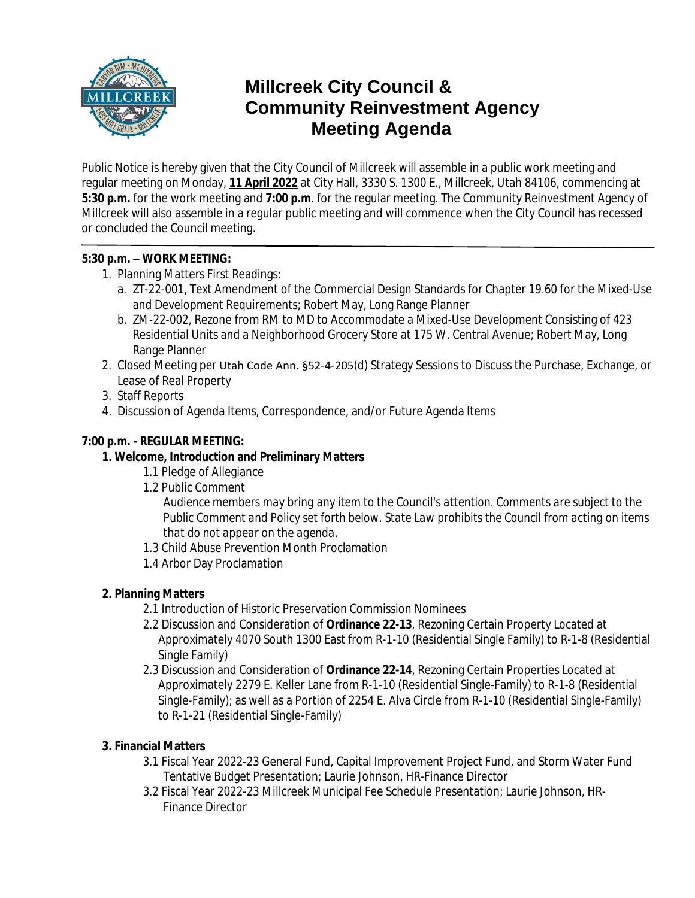

# **Millcreek City Council & Community Reinvestment Agency Meeting Agenda**

Public Notice is hereby given that the City Council of Millcreek will assemble in a public work meeting and regular meeting on Monday, **11 April 2022** at City Hall, 3330 S. 1300 E., Millcreek, Utah 84106, commencing at **5:30 p.m.** for the work meeting and **7:00 p.m**. for the regular meeting. The Community Reinvestment Agency of Millcreek will also assemble in a regular public meeting and will commence when the City Council has recessed or concluded the Council meeting.

## **5:30 p.m. – WORK MEETING:**

- 1. Planning Matters First Readings:
	- a. *ZT-22-001*, Text Amendment of the Commercial Design Standards for Chapter 19.60 for the Mixed-Use and Development Requirements; Robert May, Long Range Planner
	- b. *ZM-22-002,* Rezone from RM to MD to Accommodate a Mixed-Use Development Consisting of 423 Residential Units and a Neighborhood Grocery Store at 175 W. Central Avenue; Robert May, Long Range Planner
- 2. Closed Meeting per Utah Code Ann. §52-4-205(d) Strategy Sessions to Discuss the Purchase, Exchange, or Lease of Real Property
- 3. Staff Reports
- 4. Discussion of Agenda Items, Correspondence, and/or Future Agenda Items

## **7:00 p.m. - REGULAR MEETING:**

- **1. Welcome, Introduction and Preliminary Matters**
	- 1.1 Pledge of Allegiance
	- 1.2 Public Comment

*Audience members may bring any item to the Council's attention. Comments are subject to the Public Comment and Policy set forth below. State Law prohibits the Council from acting on items that do not appear on the agenda.*

- 1.3 Child Abuse Prevention Month Proclamation
- 1.4 Arbor Day Proclamation

# **2. Planning Matters**

- 2.1 Introduction of Historic Preservation Commission Nominees
- 2.2 Discussion and Consideration of **Ordinance 22-13**, Rezoning Certain Property Located at Approximately 4070 South 1300 East from R-1-10 (Residential Single Family) to R-1-8 (Residential Single Family)
- 2.3 Discussion and Consideration of **Ordinance 22-14**, Rezoning Certain Properties Located at Approximately 2279 E. Keller Lane from R-1-10 (Residential Single-Family) to R-1-8 (Residential Single-Family); as well as a Portion of 2254 E. Alva Circle from R-1-10 (Residential Single-Family) to R-1-21 (Residential Single-Family)

# **3. Financial Matters**

- 3.1 Fiscal Year 2022-23 General Fund, Capital Improvement Project Fund, and Storm Water Fund Tentative Budget Presentation; Laurie Johnson, HR-Finance Director
- 3.2 Fiscal Year 2022-23 Millcreek Municipal Fee Schedule Presentation; Laurie Johnson, HR-Finance Director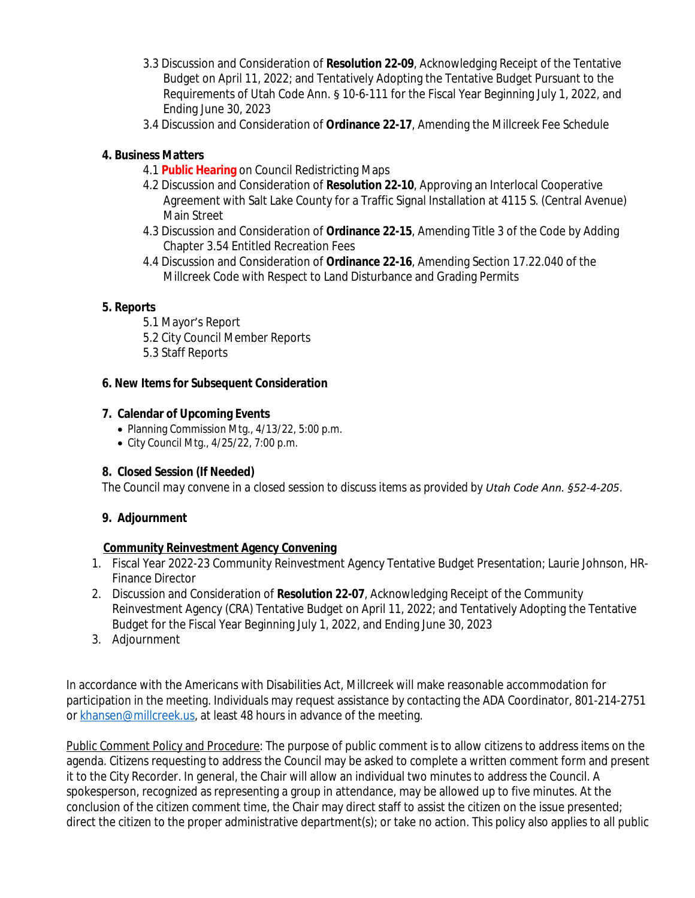- 3.3 Discussion and Consideration of **Resolution 22-09**, Acknowledging Receipt of the Tentative Budget on April 11, 2022; and Tentatively Adopting the Tentative Budget Pursuant to the Requirements of Utah Code Ann. § 10-6-111 for the Fiscal Year Beginning July 1, 2022, and Ending June 30, 2023
- 3.4 Discussion and Consideration of **Ordinance 22-17**, Amending the Millcreek Fee Schedule

## **4. Business Matters**

- 4.1 **Public Hearing** on Council Redistricting Maps
- 4.2 Discussion and Consideration of **Resolution 22-10**, Approving an Interlocal Cooperative Agreement with Salt Lake County for a Traffic Signal Installation at 4115 S. (Central Avenue) Main Street
- 4.3 Discussion and Consideration of **Ordinance 22-15**, Amending Title 3 of the Code by Adding Chapter 3.54 Entitled Recreation Fees
- 4.4 Discussion and Consideration of **Ordinance 22-16**, Amending Section 17.22.040 of the Millcreek Code with Respect to Land Disturbance and Grading Permits

#### **5. Reports**

- 5.1 Mayor's Report
- 5.2 City Council Member Reports
- 5.3 Staff Reports

## **6. New Items for Subsequent Consideration**

## **7. Calendar of Upcoming Events**

- Planning Commission Mtg., 4/13/22, 5:00 p.m.
- City Council Mtg., 4/25/22, 7:00 p.m.

# **8. Closed Session (If Needed)**

*The Council may convene in a closed session to discuss items as provided by Utah Code Ann. §52-4-205.*

# **9. Adjournment**

# **Community Reinvestment Agency Convening**

- 1. Fiscal Year 2022-23 Community Reinvestment Agency Tentative Budget Presentation; Laurie Johnson, HR-Finance Director
- 2. Discussion and Consideration of **Resolution 22-07**, Acknowledging Receipt of the Community Reinvestment Agency (CRA) Tentative Budget on April 11, 2022; and Tentatively Adopting the Tentative Budget for the Fiscal Year Beginning July 1, 2022, and Ending June 30, 2023
- 3. Adjournment

In accordance with the Americans with Disabilities Act, Millcreek will make reasonable accommodation for participation in the meeting. Individuals may request assistance by contacting the ADA Coordinator, 801-214-2751 or [khansen@millcreek.us](mailto:khansen@millcreek.us), at least 48 hours in advance of the meeting.

Public Comment Policy and Procedure: The purpose of public comment is to allow citizens to address items on the agenda. Citizens requesting to address the Council may be asked to complete a written comment form and present it to the City Recorder. In general, the Chair will allow an individual two minutes to address the Council. A spokesperson, recognized as representing a group in attendance, may be allowed up to five minutes. At the conclusion of the citizen comment time, the Chair may direct staff to assist the citizen on the issue presented; direct the citizen to the proper administrative department(s); or take no action. This policy also applies to all public